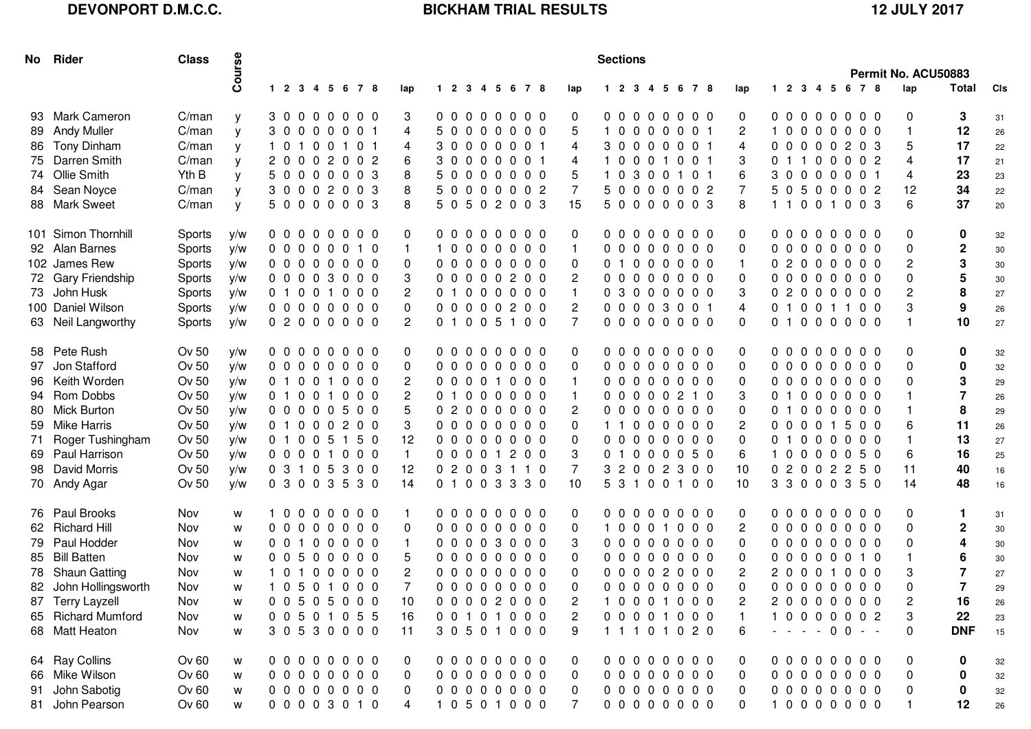## **DEVONPORT D.M.C.C. BICKHAM TRIAL RESULTS 12 JULY 2017**

|    | No Rider              | <b>Class</b> | Course |          |  |                 |                       | <b>Sections</b> |  |                 |  |  |  |              |  |  |  |  |  |                 | Permit No. ACU50883 |                |  |  |                 |          |                |        |
|----|-----------------------|--------------|--------|----------|--|-----------------|-----------------------|-----------------|--|-----------------|--|--|--|--------------|--|--|--|--|--|-----------------|---------------------|----------------|--|--|-----------------|----------|----------------|--------|
|    |                       |              |        |          |  | 1 2 3 4 5 6 7 8 | lap                   |                 |  | 1 2 3 4 5 6 7 8 |  |  |  | lap          |  |  |  |  |  | 1 2 3 4 5 6 7 8 | lap                 |                |  |  | 1 2 3 4 5 6 7 8 | lap      | Total          | CIs    |
|    | 93 Mark Cameron       | C/man        | у      |          |  | 30000000        | 3                     |                 |  | 000000000       |  |  |  | 0            |  |  |  |  |  | 00000000        | 0                   |                |  |  | 000000000       | 0        | 3              | 31     |
|    | 89 Andy Muller        | C/man        | y      | 30000001 |  |                 | 4                     |                 |  | 50000000        |  |  |  | 5            |  |  |  |  |  | 10000001        | $\overline{2}$      |                |  |  | 10000000        |          | 12             | 26     |
|    | 86 Tony Dinham        | C/man        | y      | 10100101 |  |                 | 4                     |                 |  | 30000001        |  |  |  | 4            |  |  |  |  |  | 30000001        | 4                   |                |  |  | 00000203        | 5        | 17             | 22     |
|    | 75 Darren Smith       | C/man        | y      |          |  | 20002002        | 6                     |                 |  | 30000001        |  |  |  | 4            |  |  |  |  |  | 10001001        | 3                   |                |  |  | 01100002        | 4        | 17             | 21     |
|    | 74 Ollie Smith        | Yth B        | у      | 50000003 |  |                 |                       |                 |  | 50000000        |  |  |  | 5            |  |  |  |  |  | 10300101        | 6                   |                |  |  | 30000001        | 4        | 23             | 23     |
|    | 84 Sean Noyce         | C/man        | у      |          |  | 30002003        | 8                     |                 |  | 5 0 0 0 0 0 0 2 |  |  |  | 7            |  |  |  |  |  | 50000002        | 7                   |                |  |  | 50500002        | 12       | 34             | 22     |
|    | 88 Mark Sweet         | C/man        | y      |          |  | 50000003        | 8                     |                 |  | 5 0 5 0 2 0 0 3 |  |  |  | 15           |  |  |  |  |  | 50000003        | 8                   |                |  |  | 11001003        | 6        | 37             | 20     |
|    | 101 Simon Thornhill   | Sports       | y/w    |          |  | 000000000       | 0                     |                 |  | 000000000       |  |  |  | 0            |  |  |  |  |  | 00000000        | 0                   |                |  |  | 000000000       | 0        | 0              | 32     |
|    | 92 Alan Barnes        | Sports       | y/w    |          |  | 00000010        |                       |                 |  | 10000000        |  |  |  | $\mathbf{1}$ |  |  |  |  |  | 00000000        | 0                   |                |  |  | 00000000        | $\Omega$ | $\mathbf 2$    | 30     |
|    | 102 James Rew         | Sports       | y/w    |          |  | 000000000       | 0                     |                 |  | 000000000       |  |  |  | 0            |  |  |  |  |  | 01000000        | $\mathbf{1}$        |                |  |  | 02000000        | 2        | 3              | 30     |
|    | 72 Gary Friendship    | Sports       | y/w    |          |  | 00003000        | 3                     |                 |  | 00000200        |  |  |  | 2            |  |  |  |  |  | 000000000       | 0                   |                |  |  | 00000000        | 0        | 5              | 30     |
|    | 73 John Husk          | Sports       | y/w    |          |  | 01001000        | $\overline{2}$        |                 |  | 01000000        |  |  |  |              |  |  |  |  |  | 0 3 0 0 0 0 0 0 | 3                   |                |  |  | 02000000        | 2        | 8              | 27     |
|    | 100 Daniel Wilson     | Sports       | y/w    |          |  | 00000000        | $\mathbf{0}$          |                 |  | 0 0 0 0 0 2 0 0 |  |  |  | 2            |  |  |  |  |  | 00003001        | 4                   |                |  |  | 01001100        | 3        | 9              | 26     |
|    | 63 Neil Langworthy    | Sports       | y/w    |          |  | 02000000        | $\mathbf{2}^{\prime}$ |                 |  | 01005100        |  |  |  | 7            |  |  |  |  |  | 00000000        | $\mathbf{0}$        |                |  |  | 01000000        |          | 10             | 27     |
|    | 58 Pete Rush          | Ov 50        | y/w    |          |  | 000000000       | 0                     |                 |  | 000000000       |  |  |  | 0            |  |  |  |  |  | 00000000        | 0                   | 0 <sub>0</sub> |  |  | 000000          | 0        | 0              | 32     |
| 97 | Jon Stafford          | Ov 50        | y/w    |          |  | 000000000       | 0                     |                 |  | 000000000       |  |  |  | 0            |  |  |  |  |  | 000000000       | 0                   |                |  |  | 00000000        | $\Omega$ | 0              | 32     |
| 96 | Keith Worden          | Ov 50        | y/w    |          |  | 01001000        | 2                     |                 |  | 00001000        |  |  |  | $\mathbf{1}$ |  |  |  |  |  | 000000000       | 0                   |                |  |  | 00000000        | 0        | 3              | 29     |
|    | 94 Rom Dobbs          | Ov 50        | y/w    |          |  | 01001000        | $\overline{2}$        |                 |  | 01000000        |  |  |  |              |  |  |  |  |  | 00000210        | 3                   |                |  |  | 01000000        |          | $\overline{7}$ | 26     |
|    | 80 Mick Burton        | Ov 50        | y/w    |          |  | 00000500        |                       |                 |  | 02000000        |  |  |  | 2            |  |  |  |  |  | 000000000       | 0                   |                |  |  | 01000000        |          | 8              | 29     |
|    | 59 Mike Harris        | Ov 50        | y/w    |          |  | 01000200        | 3                     |                 |  | 000000000       |  |  |  | 0            |  |  |  |  |  | 11000000        | 2                   |                |  |  | 0 0 0 0 1 5 0 0 | 6        | 11             | 26     |
|    | 71 Roger Tushingham   | Ov 50        | y/w    |          |  | 01005150        | 12                    |                 |  | 000000000       |  |  |  | 0            |  |  |  |  |  | 00000000        | $\mathbf 0$         |                |  |  | 01000000        |          | 13             | 27     |
|    | 69 Paul Harrison      | Ov 50        | y/w    |          |  | 00001000        | $\mathbf{1}$          |                 |  | 00001200        |  |  |  | 3            |  |  |  |  |  | 01000050        | 6                   | $1\quad0$      |  |  | 0 0 0 0 5 0     | 6        | 16             | 25     |
|    | 98 David Morris       | Ov 50        | y/w    |          |  | 0 3 1 0 5 3 0 0 | 12                    |                 |  | 0 2 0 0 3 1 1 0 |  |  |  | 7            |  |  |  |  |  | 3 2 0 0 2 3 0 0 | 10                  |                |  |  | 0 2 0 0 2 2 5 0 | 11       | 40             | 16     |
|    | 70 Andy Agar          | Ov 50        | y/w    |          |  | 0 3 0 0 3 5 3 0 | 14                    |                 |  | 01003330        |  |  |  | 10           |  |  |  |  |  | 5 3 1 0 0 1 0 0 | 10                  |                |  |  | 3 3 0 0 0 3 5 0 | 14       | 48             | 16     |
|    | 76 Paul Brooks        | Nov          | W      |          |  | 10000000        |                       |                 |  | 000000000       |  |  |  | 0            |  |  |  |  |  | 00000000        | 0                   | 0 <sub>0</sub> |  |  | 000000          | 0        | 1.             | 31     |
|    | 62 Richard Hill       | Nov          | W      |          |  | 000000000       | 0                     |                 |  | 000000000       |  |  |  | 0            |  |  |  |  |  | 10001000        | 2                   |                |  |  | 00000000        | $\Omega$ | $\mathbf 2$    | 30     |
|    | 79 Paul Hodder        | Nov          | W      |          |  | 0 0 1 0 0 0 0 0 |                       |                 |  | 00003000        |  |  |  | 3            |  |  |  |  |  | 000000000       | 0                   |                |  |  | 00000000        | 0        | 4              | 30     |
|    | 85 Bill Batten        | Nov          | W      |          |  | 00500000        |                       |                 |  | 000000000       |  |  |  | 0            |  |  |  |  |  | 00000000        | 0                   | 0 <sub>0</sub> |  |  | 000010          |          | 6              | 30     |
|    | 78 Shaun Gatting      | Nov          | W      |          |  | 10100000        | $\overline{2}$        |                 |  | 000000000       |  |  |  | 0            |  |  |  |  |  | 00002000        | $\overline{2}$      |                |  |  | 20001000        | 3        | $\overline{7}$ | 27     |
|    | 82 John Hollingsworth | Nov          | W      |          |  | 10501000        |                       |                 |  | 00000000        |  |  |  | 0            |  |  |  |  |  | 00000000        | $\Omega$            |                |  |  | 000000000       | $\Omega$ | $\overline{7}$ | 29     |
|    | 87 Terry Layzell      | Nov          | W      |          |  | 0 0 5 0 5 0 0 0 | 10                    |                 |  | 0 0 0 0 2 0 0 0 |  |  |  | 2            |  |  |  |  |  | 10001000        | 2                   |                |  |  | 20000000        | 2        | 16             | 26     |
|    | 65 Richard Mumford    | Nov          | W      |          |  | 0 0 5 0 1 0 5 5 | 16                    |                 |  | 0 0 1 0 1 0 0 0 |  |  |  | 2            |  |  |  |  |  | 00001000        | $\mathbf{1}$        |                |  |  | 10000002        | 3        | 22             | 23     |
|    | 68 Matt Heaton        | Nov          | W      |          |  | 30530000        | 11                    |                 |  | 3 0 5 0 1 0 0 0 |  |  |  | 9            |  |  |  |  |  | 11101020        | 6                   |                |  |  | $- 00 -$        | $\Omega$ | <b>DNF</b>     | 15     |
|    | 64 Ray Collins        | Ov 60        | w      |          |  | 000000000       |                       |                 |  | 00000000        |  |  |  |              |  |  |  |  |  | 00000000        | 0                   |                |  |  | 00000000        |          | 0              | 32     |
|    | 66 Mike Wilson        | Ov 60        | W      |          |  | 00000000        | 0                     |                 |  | 00000000        |  |  |  | 0            |  |  |  |  |  | 00000000        | 0                   |                |  |  | 00000000        | 0        | $\bf{0}$       | 32     |
| 91 | John Sabotig          | Ov 60        | W      |          |  | 00000000        | 0                     |                 |  | 00000000        |  |  |  | 0            |  |  |  |  |  | 00000000        | 0                   |                |  |  | 00000000        | 0        | $\mathbf 0$    | $32\,$ |
|    | 81 John Pearson       | Ov 60        | w      |          |  | 00003010        | 4                     |                 |  | 10501000        |  |  |  |              |  |  |  |  |  | 00000000        | $\mathbf{0}$        |                |  |  | 10000000        |          | 12             | 26     |